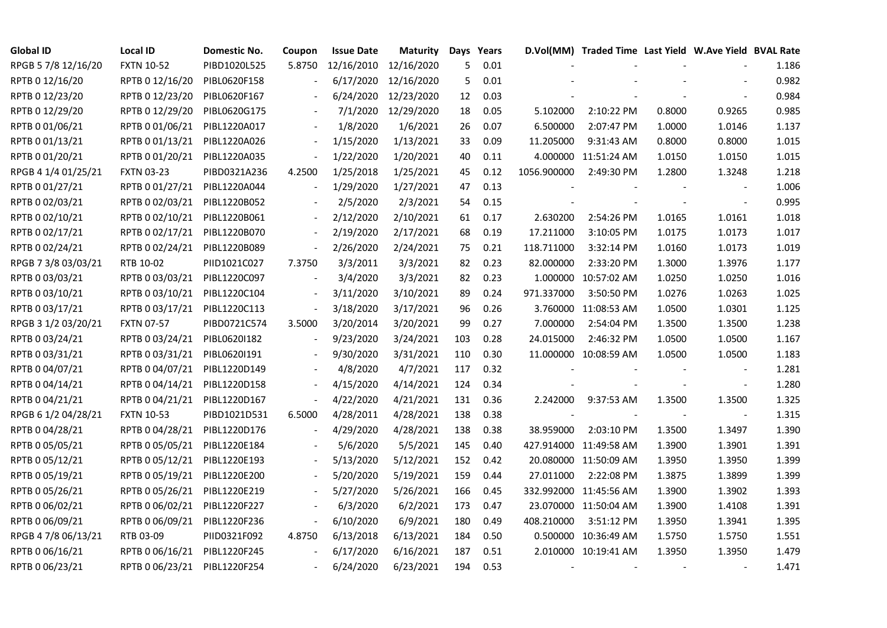| <b>Global ID</b>    | <b>Local ID</b>   | Domestic No. | Coupon | <b>Issue Date</b> | Maturity   | Days            | Years |             | D.Vol(MM) Traded Time Last Yield W.Ave Yield BVAL Rate |        |                          |       |
|---------------------|-------------------|--------------|--------|-------------------|------------|-----------------|-------|-------------|--------------------------------------------------------|--------|--------------------------|-------|
| RPGB 5 7/8 12/16/20 | <b>FXTN 10-52</b> | PIBD1020L525 | 5.8750 | 12/16/2010        | 12/16/2020 | 5               | 0.01  |             |                                                        |        |                          | 1.186 |
| RPTB 0 12/16/20     | RPTB 0 12/16/20   | PIBL0620F158 |        | 6/17/2020         | 12/16/2020 | 5               | 0.01  |             |                                                        |        |                          | 0.982 |
| RPTB 0 12/23/20     | RPTB 0 12/23/20   | PIBL0620F167 |        | 6/24/2020         | 12/23/2020 | 12 <sup>2</sup> | 0.03  |             |                                                        |        |                          | 0.984 |
| RPTB 0 12/29/20     | RPTB 0 12/29/20   | PIBL0620G175 |        | 7/1/2020          | 12/29/2020 | 18              | 0.05  | 5.102000    | 2:10:22 PM                                             | 0.8000 | 0.9265                   | 0.985 |
| RPTB 0 01/06/21     | RPTB 0 01/06/21   | PIBL1220A017 |        | 1/8/2020          | 1/6/2021   | 26              | 0.07  | 6.500000    | 2:07:47 PM                                             | 1.0000 | 1.0146                   | 1.137 |
| RPTB 0 01/13/21     | RPTB 0 01/13/21   | PIBL1220A026 |        | 1/15/2020         | 1/13/2021  | 33              | 0.09  | 11.205000   | 9:31:43 AM                                             | 0.8000 | 0.8000                   | 1.015 |
| RPTB 0 01/20/21     | RPTB 0 01/20/21   | PIBL1220A035 |        | 1/22/2020         | 1/20/2021  | 40              | 0.11  |             | 4.000000 11:51:24 AM                                   | 1.0150 | 1.0150                   | 1.015 |
| RPGB 4 1/4 01/25/21 | <b>FXTN 03-23</b> | PIBD0321A236 | 4.2500 | 1/25/2018         | 1/25/2021  | 45              | 0.12  | 1056.900000 | 2:49:30 PM                                             | 1.2800 | 1.3248                   | 1.218 |
| RPTB 0 01/27/21     | RPTB 0 01/27/21   | PIBL1220A044 |        | 1/29/2020         | 1/27/2021  | 47              | 0.13  |             |                                                        |        |                          | 1.006 |
| RPTB 0 02/03/21     | RPTB 0 02/03/21   | PIBL1220B052 |        | 2/5/2020          | 2/3/2021   | 54              | 0.15  |             |                                                        |        |                          | 0.995 |
| RPTB 0 02/10/21     | RPTB 0 02/10/21   | PIBL1220B061 |        | 2/12/2020         | 2/10/2021  | 61              | 0.17  | 2.630200    | 2:54:26 PM                                             | 1.0165 | 1.0161                   | 1.018 |
| RPTB 0 02/17/21     | RPTB 0 02/17/21   | PIBL1220B070 |        | 2/19/2020         | 2/17/2021  | 68              | 0.19  | 17.211000   | 3:10:05 PM                                             | 1.0175 | 1.0173                   | 1.017 |
| RPTB 0 02/24/21     | RPTB 0 02/24/21   | PIBL1220B089 |        | 2/26/2020         | 2/24/2021  | 75              | 0.21  | 118.711000  | 3:32:14 PM                                             | 1.0160 | 1.0173                   | 1.019 |
| RPGB 7 3/8 03/03/21 | RTB 10-02         | PIID1021C027 | 7.3750 | 3/3/2011          | 3/3/2021   | 82              | 0.23  | 82.000000   | 2:33:20 PM                                             | 1.3000 | 1.3976                   | 1.177 |
| RPTB 0 03/03/21     | RPTB 0 03/03/21   | PIBL1220C097 |        | 3/4/2020          | 3/3/2021   | 82              | 0.23  |             | 1.000000 10:57:02 AM                                   | 1.0250 | 1.0250                   | 1.016 |
| RPTB 0 03/10/21     | RPTB 0 03/10/21   | PIBL1220C104 |        | 3/11/2020         | 3/10/2021  | 89              | 0.24  | 971.337000  | 3:50:50 PM                                             | 1.0276 | 1.0263                   | 1.025 |
| RPTB 0 03/17/21     | RPTB 0 03/17/21   | PIBL1220C113 |        | 3/18/2020         | 3/17/2021  | 96              | 0.26  |             | 3.760000 11:08:53 AM                                   | 1.0500 | 1.0301                   | 1.125 |
| RPGB 3 1/2 03/20/21 | <b>FXTN 07-57</b> | PIBD0721C574 | 3.5000 | 3/20/2014         | 3/20/2021  | 99              | 0.27  | 7.000000    | 2:54:04 PM                                             | 1.3500 | 1.3500                   | 1.238 |
| RPTB 0 03/24/21     | RPTB 0 03/24/21   | PIBL0620I182 |        | 9/23/2020         | 3/24/2021  | 103             | 0.28  | 24.015000   | 2:46:32 PM                                             | 1.0500 | 1.0500                   | 1.167 |
| RPTB 0 03/31/21     | RPTB 0 03/31/21   | PIBL06201191 |        | 9/30/2020         | 3/31/2021  | 110             | 0.30  |             | 11.000000 10:08:59 AM                                  | 1.0500 | 1.0500                   | 1.183 |
| RPTB 0 04/07/21     | RPTB 0 04/07/21   | PIBL1220D149 |        | 4/8/2020          | 4/7/2021   | 117             | 0.32  |             |                                                        |        | $\sim$                   | 1.281 |
| RPTB 0 04/14/21     | RPTB 0 04/14/21   | PIBL1220D158 |        | 4/15/2020         | 4/14/2021  | 124             | 0.34  |             |                                                        |        | $\blacksquare$           | 1.280 |
| RPTB 0 04/21/21     | RPTB 0 04/21/21   | PIBL1220D167 |        | 4/22/2020         | 4/21/2021  | 131             | 0.36  | 2.242000    | 9:37:53 AM                                             | 1.3500 | 1.3500                   | 1.325 |
| RPGB 6 1/2 04/28/21 | <b>FXTN 10-53</b> | PIBD1021D531 | 6.5000 | 4/28/2011         | 4/28/2021  | 138             | 0.38  |             |                                                        |        | $\overline{\phantom{a}}$ | 1.315 |
| RPTB 0 04/28/21     | RPTB 0 04/28/21   | PIBL1220D176 |        | 4/29/2020         | 4/28/2021  | 138             | 0.38  | 38.959000   | 2:03:10 PM                                             | 1.3500 | 1.3497                   | 1.390 |
| RPTB 0 05/05/21     | RPTB 0 05/05/21   | PIBL1220E184 |        | 5/6/2020          | 5/5/2021   | 145             | 0.40  |             | 427.914000 11:49:58 AM                                 | 1.3900 | 1.3901                   | 1.391 |
| RPTB 0 05/12/21     | RPTB 0 05/12/21   | PIBL1220E193 |        | 5/13/2020         | 5/12/2021  | 152             | 0.42  |             | 20.080000 11:50:09 AM                                  | 1.3950 | 1.3950                   | 1.399 |
| RPTB 0 05/19/21     | RPTB 0 05/19/21   | PIBL1220E200 |        | 5/20/2020         | 5/19/2021  | 159             | 0.44  | 27.011000   | 2:22:08 PM                                             | 1.3875 | 1.3899                   | 1.399 |
| RPTB 0 05/26/21     | RPTB 0 05/26/21   | PIBL1220E219 |        | 5/27/2020         | 5/26/2021  | 166             | 0.45  |             | 332.992000 11:45:56 AM                                 | 1.3900 | 1.3902                   | 1.393 |
| RPTB 0 06/02/21     | RPTB 0 06/02/21   | PIBL1220F227 |        | 6/3/2020          | 6/2/2021   | 173             | 0.47  |             | 23.070000 11:50:04 AM                                  | 1.3900 | 1.4108                   | 1.391 |
| RPTB 0 06/09/21     | RPTB 0 06/09/21   | PIBL1220F236 |        | 6/10/2020         | 6/9/2021   | 180             | 0.49  | 408.210000  | 3:51:12 PM                                             | 1.3950 | 1.3941                   | 1.395 |
| RPGB 4 7/8 06/13/21 | RTB 03-09         | PIID0321F092 | 4.8750 | 6/13/2018         | 6/13/2021  | 184             | 0.50  |             | 0.500000 10:36:49 AM                                   | 1.5750 | 1.5750                   | 1.551 |
| RPTB 0 06/16/21     | RPTB 0 06/16/21   | PIBL1220F245 |        | 6/17/2020         | 6/16/2021  | 187             | 0.51  |             | 2.010000 10:19:41 AM                                   | 1.3950 | 1.3950                   | 1.479 |
| RPTB 0 06/23/21     | RPTB 0 06/23/21   | PIBL1220F254 |        | 6/24/2020         | 6/23/2021  | 194             | 0.53  |             |                                                        |        |                          | 1.471 |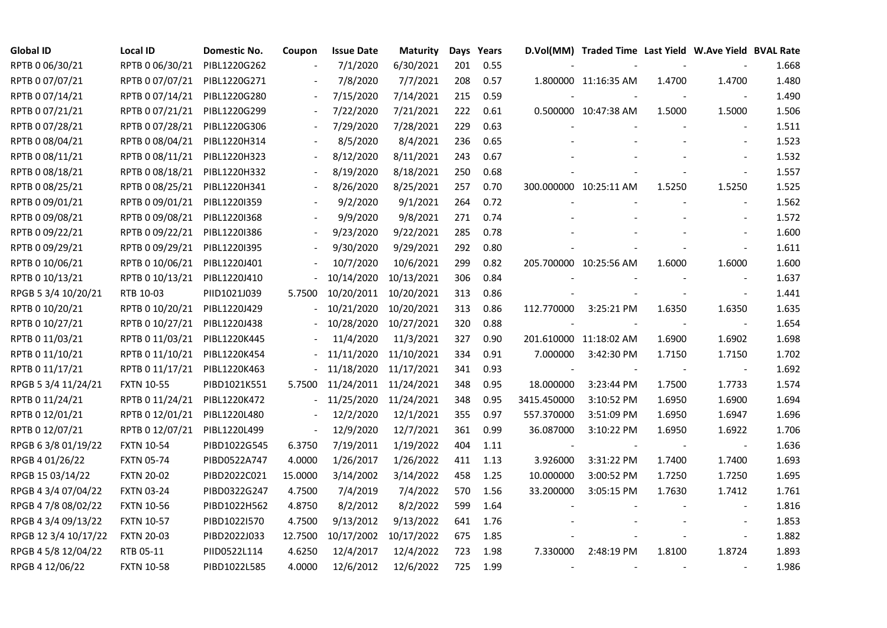| <b>Global ID</b>     | <b>Local ID</b>   | Domestic No. | Coupon                   | <b>Issue Date</b> | <b>Maturity</b> |     | Days Years |                | D.Vol(MM) Traded Time Last Yield W.Ave Yield BVAL Rate |        |                |       |
|----------------------|-------------------|--------------|--------------------------|-------------------|-----------------|-----|------------|----------------|--------------------------------------------------------|--------|----------------|-------|
| RPTB 0 06/30/21      | RPTB 0 06/30/21   | PIBL1220G262 |                          | 7/1/2020          | 6/30/2021       | 201 | 0.55       |                |                                                        |        |                | 1.668 |
| RPTB 0 07/07/21      | RPTB 0 07/07/21   | PIBL1220G271 |                          | 7/8/2020          | 7/7/2021        | 208 | 0.57       |                | 1.800000 11:16:35 AM                                   | 1.4700 | 1.4700         | 1.480 |
| RPTB 0 07/14/21      | RPTB 0 07/14/21   | PIBL1220G280 |                          | 7/15/2020         | 7/14/2021       | 215 | 0.59       |                |                                                        |        |                | 1.490 |
| RPTB 0 07/21/21      | RPTB 0 07/21/21   | PIBL1220G299 |                          | 7/22/2020         | 7/21/2021       | 222 | 0.61       |                | 0.500000 10:47:38 AM                                   | 1.5000 | 1.5000         | 1.506 |
| RPTB 0 07/28/21      | RPTB 0 07/28/21   | PIBL1220G306 |                          | 7/29/2020         | 7/28/2021       | 229 | 0.63       |                |                                                        |        |                | 1.511 |
| RPTB 0 08/04/21      | RPTB 0 08/04/21   | PIBL1220H314 |                          | 8/5/2020          | 8/4/2021        | 236 | 0.65       |                |                                                        |        | $\blacksquare$ | 1.523 |
| RPTB 0 08/11/21      | RPTB 0 08/11/21   | PIBL1220H323 |                          | 8/12/2020         | 8/11/2021       | 243 | 0.67       |                |                                                        |        | $\blacksquare$ | 1.532 |
| RPTB 0 08/18/21      | RPTB 0 08/18/21   | PIBL1220H332 |                          | 8/19/2020         | 8/18/2021       | 250 | 0.68       |                |                                                        |        | $\sim$         | 1.557 |
| RPTB 0 08/25/21      | RPTB 0 08/25/21   | PIBL1220H341 |                          | 8/26/2020         | 8/25/2021       | 257 | 0.70       |                | 300.000000 10:25:11 AM                                 | 1.5250 | 1.5250         | 1.525 |
| RPTB 0 09/01/21      | RPTB 0 09/01/21   | PIBL1220I359 |                          | 9/2/2020          | 9/1/2021        | 264 | 0.72       |                |                                                        |        |                | 1.562 |
| RPTB 0 09/08/21      | RPTB 0 09/08/21   | PIBL1220I368 |                          | 9/9/2020          | 9/8/2021        | 271 | 0.74       |                |                                                        |        |                | 1.572 |
| RPTB 0 09/22/21      | RPTB 0 09/22/21   | PIBL1220I386 |                          | 9/23/2020         | 9/22/2021       | 285 | 0.78       |                |                                                        |        |                | 1.600 |
| RPTB 0 09/29/21      | RPTB 0 09/29/21   | PIBL1220I395 |                          | 9/30/2020         | 9/29/2021       | 292 | 0.80       |                |                                                        |        | $\blacksquare$ | 1.611 |
| RPTB 0 10/06/21      | RPTB 0 10/06/21   | PIBL1220J401 |                          | 10/7/2020         | 10/6/2021       | 299 | 0.82       |                | 205.700000 10:25:56 AM                                 | 1.6000 | 1.6000         | 1.600 |
| RPTB 0 10/13/21      | RPTB 0 10/13/21   | PIBL1220J410 |                          | 10/14/2020        | 10/13/2021      | 306 | 0.84       |                |                                                        |        |                | 1.637 |
| RPGB 5 3/4 10/20/21  | RTB 10-03         | PIID1021J039 | 5.7500                   | 10/20/2011        | 10/20/2021      | 313 | 0.86       |                |                                                        |        |                | 1.441 |
| RPTB 0 10/20/21      | RPTB 0 10/20/21   | PIBL1220J429 |                          | 10/21/2020        | 10/20/2021      | 313 | 0.86       | 112.770000     | 3:25:21 PM                                             | 1.6350 | 1.6350         | 1.635 |
| RPTB 0 10/27/21      | RPTB 0 10/27/21   | PIBL1220J438 |                          | $-10/28/2020$     | 10/27/2021      | 320 | 0.88       |                |                                                        |        | $\blacksquare$ | 1.654 |
| RPTB 0 11/03/21      | RPTB 0 11/03/21   | PIBL1220K445 |                          | 11/4/2020         | 11/3/2021       | 327 | 0.90       |                | 201.610000 11:18:02 AM                                 | 1.6900 | 1.6902         | 1.698 |
| RPTB 0 11/10/21      | RPTB 0 11/10/21   | PIBL1220K454 |                          | 11/11/2020        | 11/10/2021      | 334 | 0.91       | 7.000000       | 3:42:30 PM                                             | 1.7150 | 1.7150         | 1.702 |
| RPTB 0 11/17/21      | RPTB 0 11/17/21   | PIBL1220K463 |                          | $-11/18/2020$     | 11/17/2021      | 341 | 0.93       | $\blacksquare$ |                                                        | $\sim$ | $\blacksquare$ | 1.692 |
| RPGB 5 3/4 11/24/21  | <b>FXTN 10-55</b> | PIBD1021K551 | 5.7500                   | 11/24/2011        | 11/24/2021      | 348 | 0.95       | 18.000000      | 3:23:44 PM                                             | 1.7500 | 1.7733         | 1.574 |
| RPTB 0 11/24/21      | RPTB 0 11/24/21   | PIBL1220K472 |                          | 11/25/2020        | 11/24/2021      | 348 | 0.95       | 3415.450000    | 3:10:52 PM                                             | 1.6950 | 1.6900         | 1.694 |
| RPTB 0 12/01/21      | RPTB 0 12/01/21   | PIBL1220L480 |                          | 12/2/2020         | 12/1/2021       | 355 | 0.97       | 557.370000     | 3:51:09 PM                                             | 1.6950 | 1.6947         | 1.696 |
| RPTB 0 12/07/21      | RPTB 0 12/07/21   | PIBL1220L499 | $\overline{\phantom{a}}$ | 12/9/2020         | 12/7/2021       | 361 | 0.99       | 36.087000      | 3:10:22 PM                                             | 1.6950 | 1.6922         | 1.706 |
| RPGB 63/8 01/19/22   | <b>FXTN 10-54</b> | PIBD1022G545 | 6.3750                   | 7/19/2011         | 1/19/2022       | 404 | 1.11       |                |                                                        |        | $\blacksquare$ | 1.636 |
| RPGB 4 01/26/22      | <b>FXTN 05-74</b> | PIBD0522A747 | 4.0000                   | 1/26/2017         | 1/26/2022       | 411 | 1.13       | 3.926000       | 3:31:22 PM                                             | 1.7400 | 1.7400         | 1.693 |
| RPGB 15 03/14/22     | <b>FXTN 20-02</b> | PIBD2022C021 | 15.0000                  | 3/14/2002         | 3/14/2022       | 458 | 1.25       | 10.000000      | 3:00:52 PM                                             | 1.7250 | 1.7250         | 1.695 |
| RPGB 4 3/4 07/04/22  | <b>FXTN 03-24</b> | PIBD0322G247 | 4.7500                   | 7/4/2019          | 7/4/2022        | 570 | 1.56       | 33.200000      | 3:05:15 PM                                             | 1.7630 | 1.7412         | 1.761 |
| RPGB 4 7/8 08/02/22  | <b>FXTN 10-56</b> | PIBD1022H562 | 4.8750                   | 8/2/2012          | 8/2/2022        | 599 | 1.64       |                |                                                        |        |                | 1.816 |
| RPGB 4 3/4 09/13/22  | <b>FXTN 10-57</b> | PIBD1022I570 | 4.7500                   | 9/13/2012         | 9/13/2022       | 641 | 1.76       |                |                                                        |        |                | 1.853 |
| RPGB 12 3/4 10/17/22 | <b>FXTN 20-03</b> | PIBD2022J033 | 12.7500                  | 10/17/2002        | 10/17/2022      | 675 | 1.85       |                |                                                        |        | $\blacksquare$ | 1.882 |
| RPGB 4 5/8 12/04/22  | RTB 05-11         | PIID0522L114 | 4.6250                   | 12/4/2017         | 12/4/2022       | 723 | 1.98       | 7.330000       | 2:48:19 PM                                             | 1.8100 | 1.8724         | 1.893 |
| RPGB 4 12/06/22      | <b>FXTN 10-58</b> | PIBD1022L585 | 4.0000                   | 12/6/2012         | 12/6/2022       | 725 | 1.99       |                |                                                        |        |                | 1.986 |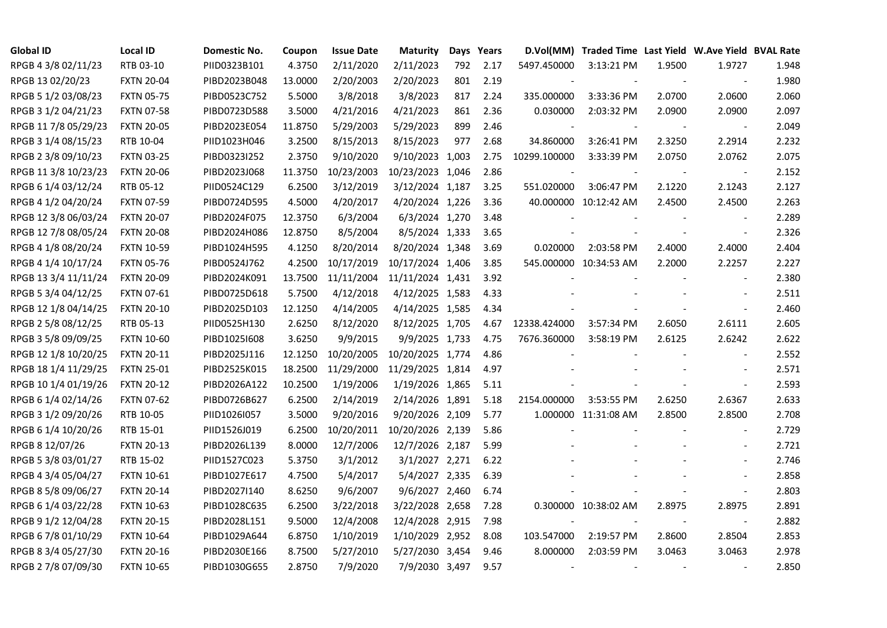| <b>Global ID</b>     | <b>Local ID</b>   | Domestic No. | Coupon  | <b>Issue Date</b> | <b>Maturity</b>  |     | Days Years | D.Vol(MM)    | Traded Time Last Yield W.Ave Yield BVAL Rate |        |                          |       |
|----------------------|-------------------|--------------|---------|-------------------|------------------|-----|------------|--------------|----------------------------------------------|--------|--------------------------|-------|
| RPGB 4 3/8 02/11/23  | RTB 03-10         | PIID0323B101 | 4.3750  | 2/11/2020         | 2/11/2023        | 792 | 2.17       | 5497.450000  | 3:13:21 PM                                   | 1.9500 | 1.9727                   | 1.948 |
| RPGB 13 02/20/23     | <b>FXTN 20-04</b> | PIBD2023B048 | 13.0000 | 2/20/2003         | 2/20/2023        | 801 | 2.19       |              |                                              |        |                          | 1.980 |
| RPGB 5 1/2 03/08/23  | <b>FXTN 05-75</b> | PIBD0523C752 | 5.5000  | 3/8/2018          | 3/8/2023         | 817 | 2.24       | 335.000000   | 3:33:36 PM                                   | 2.0700 | 2.0600                   | 2.060 |
| RPGB 3 1/2 04/21/23  | <b>FXTN 07-58</b> | PIBD0723D588 | 3.5000  | 4/21/2016         | 4/21/2023        | 861 | 2.36       | 0.030000     | 2:03:32 PM                                   | 2.0900 | 2.0900                   | 2.097 |
| RPGB 11 7/8 05/29/23 | <b>FXTN 20-05</b> | PIBD2023E054 | 11.8750 | 5/29/2003         | 5/29/2023        | 899 | 2.46       |              |                                              |        |                          | 2.049 |
| RPGB 3 1/4 08/15/23  | RTB 10-04         | PIID1023H046 | 3.2500  | 8/15/2013         | 8/15/2023        | 977 | 2.68       | 34.860000    | 3:26:41 PM                                   | 2.3250 | 2.2914                   | 2.232 |
| RPGB 2 3/8 09/10/23  | <b>FXTN 03-25</b> | PIBD0323I252 | 2.3750  | 9/10/2020         | 9/10/2023 1,003  |     | 2.75       | 10299.100000 | 3:33:39 PM                                   | 2.0750 | 2.0762                   | 2.075 |
| RPGB 11 3/8 10/23/23 | <b>FXTN 20-06</b> | PIBD2023J068 | 11.3750 | 10/23/2003        | 10/23/2023 1,046 |     | 2.86       |              |                                              |        |                          | 2.152 |
| RPGB 6 1/4 03/12/24  | RTB 05-12         | PIID0524C129 | 6.2500  | 3/12/2019         | 3/12/2024 1,187  |     | 3.25       | 551.020000   | 3:06:47 PM                                   | 2.1220 | 2.1243                   | 2.127 |
| RPGB 4 1/2 04/20/24  | <b>FXTN 07-59</b> | PIBD0724D595 | 4.5000  | 4/20/2017         | 4/20/2024 1,226  |     | 3.36       |              | 40.000000 10:12:42 AM                        | 2.4500 | 2.4500                   | 2.263 |
| RPGB 12 3/8 06/03/24 | <b>FXTN 20-07</b> | PIBD2024F075 | 12.3750 | 6/3/2004          | 6/3/2024 1,270   |     | 3.48       |              |                                              |        |                          | 2.289 |
| RPGB 12 7/8 08/05/24 | <b>FXTN 20-08</b> | PIBD2024H086 | 12.8750 | 8/5/2004          | 8/5/2024 1,333   |     | 3.65       |              |                                              |        |                          | 2.326 |
| RPGB 4 1/8 08/20/24  | <b>FXTN 10-59</b> | PIBD1024H595 | 4.1250  | 8/20/2014         | 8/20/2024 1,348  |     | 3.69       | 0.020000     | 2:03:58 PM                                   | 2.4000 | 2.4000                   | 2.404 |
| RPGB 4 1/4 10/17/24  | <b>FXTN 05-76</b> | PIBD0524J762 | 4.2500  | 10/17/2019        | 10/17/2024 1,406 |     | 3.85       |              | 545.000000 10:34:53 AM                       | 2.2000 | 2.2257                   | 2.227 |
| RPGB 13 3/4 11/11/24 | <b>FXTN 20-09</b> | PIBD2024K091 | 13.7500 | 11/11/2004        | 11/11/2024 1,431 |     | 3.92       |              |                                              |        |                          | 2.380 |
| RPGB 5 3/4 04/12/25  | <b>FXTN 07-61</b> | PIBD0725D618 | 5.7500  | 4/12/2018         | 4/12/2025 1,583  |     | 4.33       |              |                                              |        |                          | 2.511 |
| RPGB 12 1/8 04/14/25 | <b>FXTN 20-10</b> | PIBD2025D103 | 12.1250 | 4/14/2005         | 4/14/2025 1,585  |     | 4.34       |              |                                              |        | $\overline{\phantom{a}}$ | 2.460 |
| RPGB 2 5/8 08/12/25  | RTB 05-13         | PIID0525H130 | 2.6250  | 8/12/2020         | 8/12/2025 1,705  |     | 4.67       | 12338.424000 | 3:57:34 PM                                   | 2.6050 | 2.6111                   | 2.605 |
| RPGB 3 5/8 09/09/25  | <b>FXTN 10-60</b> | PIBD10251608 | 3.6250  | 9/9/2015          | 9/9/2025 1,733   |     | 4.75       | 7676.360000  | 3:58:19 PM                                   | 2.6125 | 2.6242                   | 2.622 |
| RPGB 12 1/8 10/20/25 | <b>FXTN 20-11</b> | PIBD2025J116 | 12.1250 | 10/20/2005        | 10/20/2025 1,774 |     | 4.86       |              |                                              |        | $\overline{\phantom{a}}$ | 2.552 |
| RPGB 18 1/4 11/29/25 | <b>FXTN 25-01</b> | PIBD2525K015 | 18.2500 | 11/29/2000        | 11/29/2025 1,814 |     | 4.97       |              |                                              |        |                          | 2.571 |
| RPGB 10 1/4 01/19/26 | <b>FXTN 20-12</b> | PIBD2026A122 | 10.2500 | 1/19/2006         | 1/19/2026 1,865  |     | 5.11       |              |                                              |        | $\blacksquare$           | 2.593 |
| RPGB 6 1/4 02/14/26  | <b>FXTN 07-62</b> | PIBD0726B627 | 6.2500  | 2/14/2019         | 2/14/2026 1,891  |     | 5.18       | 2154.000000  | 3:53:55 PM                                   | 2.6250 | 2.6367                   | 2.633 |
| RPGB 3 1/2 09/20/26  | RTB 10-05         | PIID1026I057 | 3.5000  | 9/20/2016         | 9/20/2026 2,109  |     | 5.77       |              | 1.000000 11:31:08 AM                         | 2.8500 | 2.8500                   | 2.708 |
| RPGB 6 1/4 10/20/26  | RTB 15-01         | PIID1526J019 | 6.2500  | 10/20/2011        | 10/20/2026 2,139 |     | 5.86       |              |                                              |        | $\overline{\phantom{a}}$ | 2.729 |
| RPGB 8 12/07/26      | <b>FXTN 20-13</b> | PIBD2026L139 | 8.0000  | 12/7/2006         | 12/7/2026 2,187  |     | 5.99       |              |                                              |        | $\overline{\phantom{a}}$ | 2.721 |
| RPGB 5 3/8 03/01/27  | RTB 15-02         | PIID1527C023 | 5.3750  | 3/1/2012          | 3/1/2027 2,271   |     | 6.22       |              |                                              |        | $\blacksquare$           | 2.746 |
| RPGB 4 3/4 05/04/27  | <b>FXTN 10-61</b> | PIBD1027E617 | 4.7500  | 5/4/2017          | 5/4/2027 2,335   |     | 6.39       |              |                                              |        | $\blacksquare$           | 2.858 |
| RPGB 8 5/8 09/06/27  | <b>FXTN 20-14</b> | PIBD2027I140 | 8.6250  | 9/6/2007          | 9/6/2027 2,460   |     | 6.74       |              |                                              |        | $\blacksquare$           | 2.803 |
| RPGB 6 1/4 03/22/28  | <b>FXTN 10-63</b> | PIBD1028C635 | 6.2500  | 3/22/2018         | 3/22/2028 2,658  |     | 7.28       |              | 0.300000 10:38:02 AM                         | 2.8975 | 2.8975                   | 2.891 |
| RPGB 9 1/2 12/04/28  | <b>FXTN 20-15</b> | PIBD2028L151 | 9.5000  | 12/4/2008         | 12/4/2028 2,915  |     | 7.98       |              |                                              |        | $\overline{\phantom{a}}$ | 2.882 |
| RPGB 67/8 01/10/29   | <b>FXTN 10-64</b> | PIBD1029A644 | 6.8750  | 1/10/2019         | 1/10/2029 2,952  |     | 8.08       | 103.547000   | 2:19:57 PM                                   | 2.8600 | 2.8504                   | 2.853 |
| RPGB 8 3/4 05/27/30  | <b>FXTN 20-16</b> | PIBD2030E166 | 8.7500  | 5/27/2010         | 5/27/2030 3,454  |     | 9.46       | 8.000000     | 2:03:59 PM                                   | 3.0463 | 3.0463                   | 2.978 |
| RPGB 2 7/8 07/09/30  | <b>FXTN 10-65</b> | PIBD1030G655 | 2.8750  | 7/9/2020          | 7/9/2030 3,497   |     | 9.57       | $\sim$       |                                              |        |                          | 2.850 |